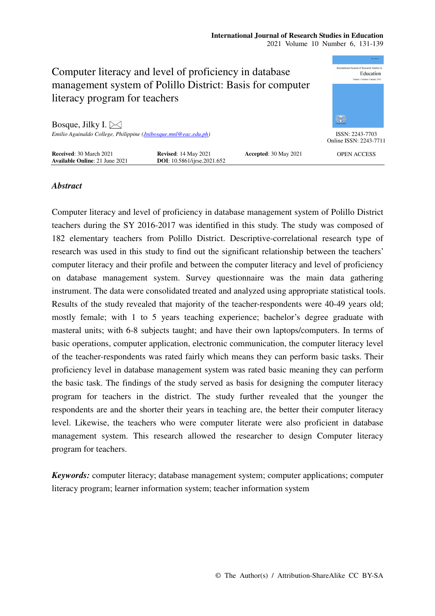| Computer literacy and level of proficiency in database<br>management system of Polillo District: Basis for computer<br>literacy program for teachers | 0004 2345 FM<br>aternational Journal of Research Studies in<br>Education<br>Volume 1 Number 1 January 2012 |                       |                                           |
|------------------------------------------------------------------------------------------------------------------------------------------------------|------------------------------------------------------------------------------------------------------------|-----------------------|-------------------------------------------|
| Bosque, Jilky I. $\boxtimes$                                                                                                                         |                                                                                                            |                       | 徽                                         |
| Emilio Aguinaldo College, Philippine (Jnibosque.mnl@eac.edu.ph)                                                                                      |                                                                                                            |                       | ISSN: 2243-7703<br>Online ISSN: 2243-7711 |
| <b>Received: 30 March 2021</b><br><b>Available Online: 21 June 2021</b>                                                                              | <b>Revised: 14 May 2021</b><br>DOI: 10.5861/ijrse.2021.652                                                 | Accepted: 30 May 2021 | <b>OPEN ACCESS</b>                        |

# *Abstract*

Computer literacy and level of proficiency in database management system of Polillo District teachers during the SY 2016-2017 was identified in this study. The study was composed of 182 elementary teachers from Polillo District. Descriptive-correlational research type of research was used in this study to find out the significant relationship between the teachers' computer literacy and their profile and between the computer literacy and level of proficiency on database management system. Survey questionnaire was the main data gathering instrument. The data were consolidated treated and analyzed using appropriate statistical tools. Results of the study revealed that majority of the teacher-respondents were 40-49 years old; mostly female; with 1 to 5 years teaching experience; bachelor's degree graduate with masteral units; with 6-8 subjects taught; and have their own laptops/computers. In terms of basic operations, computer application, electronic communication, the computer literacy level of the teacher-respondents was rated fairly which means they can perform basic tasks. Their proficiency level in database management system was rated basic meaning they can perform the basic task. The findings of the study served as basis for designing the computer literacy program for teachers in the district. The study further revealed that the younger the respondents are and the shorter their years in teaching are, the better their computer literacy level. Likewise, the teachers who were computer literate were also proficient in database management system. This research allowed the researcher to design Computer literacy program for teachers.

*Keywords:* computer literacy; database management system; computer applications; computer literacy program; learner information system; teacher information system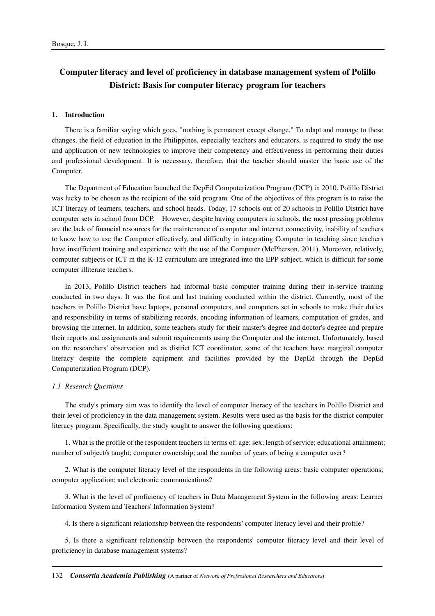# **Computer literacy and level of proficiency in database management system of Polillo District: Basis for computer literacy program for teachers**

### **1. Introduction**

There is a familiar saying which goes, "nothing is permanent except change." To adapt and manage to these changes, the field of education in the Philippines, especially teachers and educators, is required to study the use and application of new technologies to improve their competency and effectiveness in performing their duties and professional development. It is necessary, therefore, that the teacher should master the basic use of the Computer.

The Department of Education launched the DepEd Computerization Program (DCP) in 2010. Polillo District was lucky to be chosen as the recipient of the said program. One of the objectives of this program is to raise the ICT literacy of learners, teachers, and school heads. Today, 17 schools out of 20 schools in Polillo District have computer sets in school from DCP. However, despite having computers in schools, the most pressing problems are the lack of financial resources for the maintenance of computer and internet connectivity, inability of teachers to know how to use the Computer effectively, and difficulty in integrating Computer in teaching since teachers have insufficient training and experience with the use of the Computer (McPherson, 2011). Moreover, relatively, computer subjects or ICT in the K-12 curriculum are integrated into the EPP subject, which is difficult for some computer illiterate teachers.

In 2013, Polillo District teachers had informal basic computer training during their in-service training conducted in two days. It was the first and last training conducted within the district. Currently, most of the teachers in Polillo District have laptops, personal computers, and computers set in schools to make their duties and responsibility in terms of stabilizing records, encoding information of learners, computation of grades, and browsing the internet. In addition, some teachers study for their master's degree and doctor's degree and prepare their reports and assignments and submit requirements using the Computer and the internet. Unfortunately, based on the researchers' observation and as district ICT coordinator, some of the teachers have marginal computer literacy despite the complete equipment and facilities provided by the DepEd through the DepEd Computerization Program (DCP).

## *1.1 Research Questions*

The study's primary aim was to identify the level of computer literacy of the teachers in Polillo District and their level of proficiency in the data management system. Results were used as the basis for the district computer literacy program. Specifically, the study sought to answer the following questions:

1. What is the profile of the respondent teachers in terms of: age; sex; length of service; educational attainment; number of subject/s taught; computer ownership; and the number of years of being a computer user?

2. What is the computer literacy level of the respondents in the following areas: basic computer operations; computer application; and electronic communications?

3. What is the level of proficiency of teachers in Data Management System in the following areas: Learner Information System and Teachers' Information System?

4. Is there a significant relationship between the respondents' computer literacy level and their profile?

5. Is there a significant relationship between the respondents' computer literacy level and their level of proficiency in database management systems?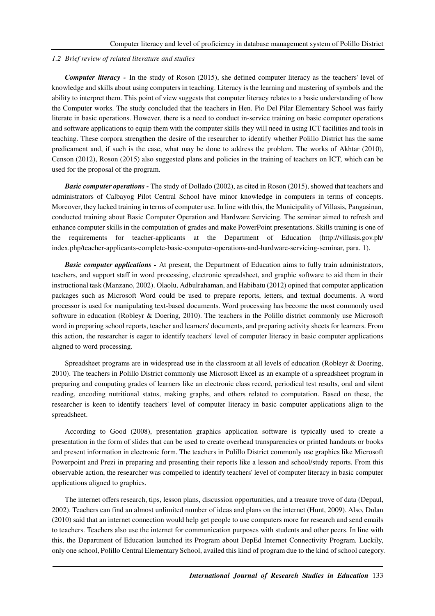# *1.2 Brief review of related literature and studies*

*Computer literacy -* In the study of Roson (2015), she defined computer literacy as the teachers' level of knowledge and skills about using computers in teaching. Literacy is the learning and mastering of symbols and the ability to interpret them. This point of view suggests that computer literacy relates to a basic understanding of how the Computer works. The study concluded that the teachers in Hen. Pio Del Pilar Elementary School was fairly literate in basic operations. However, there is a need to conduct in-service training on basic computer operations and software applications to equip them with the computer skills they will need in using ICT facilities and tools in teaching. These corpora strengthen the desire of the researcher to identify whether Polillo District has the same predicament and, if such is the case, what may be done to address the problem. The works of Akhtar (2010), Censon (2012), Roson (2015) also suggested plans and policies in the training of teachers on ICT, which can be used for the proposal of the program.

*Basic computer operations -* The study of Dollado (2002), as cited in Roson (2015), showed that teachers and administrators of Calbayog Pilot Central School have minor knowledge in computers in terms of concepts. Moreover, they lacked training in terms of computer use. In line with this, the Municipality of Villasis, Pangasinan, conducted training about Basic Computer Operation and Hardware Servicing. The seminar aimed to refresh and enhance computer skills in the computation of grades and make PowerPoint presentations. Skills training is one of the requirements for teacher-applicants at the Department of Education (http://villasis.gov.ph/ index.php/teacher-applicants-complete-basic-computer-operations-and-hardware-servicing-seminar, para. 1).

*Basic computer applications - At present, the Department of Education aims to fully train administrators,* teachers, and support staff in word processing, electronic spreadsheet, and graphic software to aid them in their instructional task (Manzano, 2002). Olaolu, Adbulrahaman, and Habibatu (2012) opined that computer application packages such as Microsoft Word could be used to prepare reports, letters, and textual documents. A word processor is used for manipulating text-based documents. Word processing has become the most commonly used software in education (Robleyr & Doering, 2010). The teachers in the Polillo district commonly use Microsoft word in preparing school reports, teacher and learners' documents, and preparing activity sheets for learners. From this action, the researcher is eager to identify teachers' level of computer literacy in basic computer applications aligned to word processing.

Spreadsheet programs are in widespread use in the classroom at all levels of education (Robleyr & Doering, 2010). The teachers in Polillo District commonly use Microsoft Excel as an example of a spreadsheet program in preparing and computing grades of learners like an electronic class record, periodical test results, oral and silent reading, encoding nutritional status, making graphs, and others related to computation. Based on these, the researcher is keen to identify teachers' level of computer literacy in basic computer applications align to the spreadsheet.

According to Good (2008), presentation graphics application software is typically used to create a presentation in the form of slides that can be used to create overhead transparencies or printed handouts or books and present information in electronic form. The teachers in Polillo District commonly use graphics like Microsoft Powerpoint and Prezi in preparing and presenting their reports like a lesson and school/study reports. From this observable action, the researcher was compelled to identify teachers' level of computer literacy in basic computer applications aligned to graphics.

The internet offers research, tips, lesson plans, discussion opportunities, and a treasure trove of data (Depaul, 2002). Teachers can find an almost unlimited number of ideas and plans on the internet (Hunt, 2009). Also, Dulan (2010) said that an internet connection would help get people to use computers more for research and send emails to teachers. Teachers also use the internet for communication purposes with students and other peers. In line with this, the Department of Education launched its Program about DepEd Internet Connectivity Program. Luckily, only one school, Polillo Central Elementary School, availed this kind of program due to the kind of school category.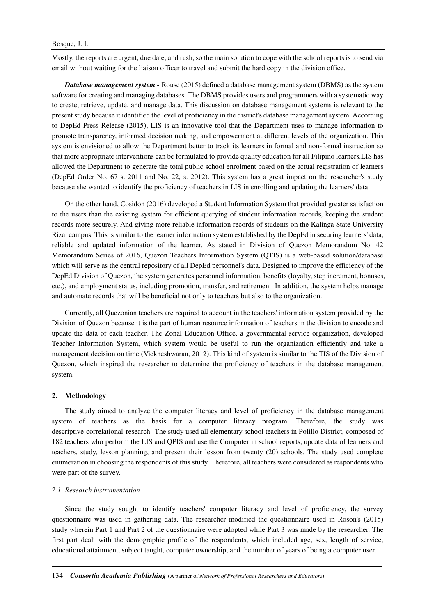Mostly, the reports are urgent, due date, and rush, so the main solution to cope with the school reports is to send via email without waiting for the liaison officer to travel and submit the hard copy in the division office.

*Database management system -* Rouse (2015) defined a database management system (DBMS) as the system software for creating and managing databases. The DBMS provides users and programmers with a systematic way to create, retrieve, update, and manage data. This discussion on database management systems is relevant to the present study because it identified the level of proficiency in the district's database management system. According to DepEd Press Release (2015), LIS is an innovative tool that the Department uses to manage information to promote transparency, informed decision making, and empowerment at different levels of the organization. This system is envisioned to allow the Department better to track its learners in formal and non-formal instruction so that more appropriate interventions can be formulated to provide quality education for all Filipino learners.LIS has allowed the Department to generate the total public school enrolment based on the actual registration of learners (DepEd Order No. 67 s. 2011 and No. 22, s. 2012). This system has a great impact on the researcher's study because she wanted to identify the proficiency of teachers in LIS in enrolling and updating the learners' data.

On the other hand, Cosidon (2016) developed a Student Information System that provided greater satisfaction to the users than the existing system for efficient querying of student information records, keeping the student records more securely. And giving more reliable information records of students on the Kalinga State University Rizal campus. This is similar to the learner information system established by the DepEd in securing learners' data, reliable and updated information of the learner. As stated in Division of Quezon Memorandum No. 42 Memorandum Series of 2016, Quezon Teachers Information System (QTIS) is a web-based solution/database which will serve as the central repository of all DepEd personnel's data. Designed to improve the efficiency of the DepEd Division of Quezon, the system generates personnel information, benefits (loyalty, step increment, bonuses, etc.), and employment status, including promotion, transfer, and retirement. In addition, the system helps manage and automate records that will be beneficial not only to teachers but also to the organization.

Currently, all Quezonian teachers are required to account in the teachers' information system provided by the Division of Quezon because it is the part of human resource information of teachers in the division to encode and update the data of each teacher. The Zonal Education Office, a governmental service organization, developed Teacher Information System, which system would be useful to run the organization efficiently and take a management decision on time (Vickneshwaran, 2012). This kind of system is similar to the TIS of the Division of Quezon, which inspired the researcher to determine the proficiency of teachers in the database management system.

## **2. Methodology**

The study aimed to analyze the computer literacy and level of proficiency in the database management system of teachers as the basis for a computer literacy program. Therefore, the study was descriptive-correlational research. The study used all elementary school teachers in Polillo District, composed of 182 teachers who perform the LIS and QPIS and use the Computer in school reports, update data of learners and teachers, study, lesson planning, and present their lesson from twenty (20) schools. The study used complete enumeration in choosing the respondents of this study. Therefore, all teachers were considered as respondents who were part of the survey.

#### *2.1 Research instrumentation*

Since the study sought to identify teachers' computer literacy and level of proficiency, the survey questionnaire was used in gathering data. The researcher modified the questionnaire used in Roson's (2015) study wherein Part 1 and Part 2 of the questionnaire were adopted while Part 3 was made by the researcher. The first part dealt with the demographic profile of the respondents, which included age, sex, length of service, educational attainment, subject taught, computer ownership, and the number of years of being a computer user.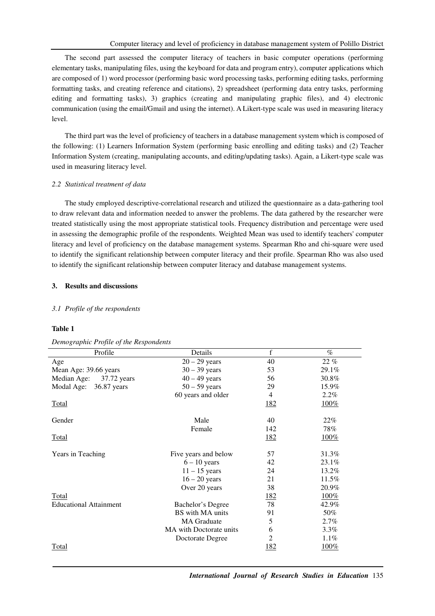The second part assessed the computer literacy of teachers in basic computer operations (performing elementary tasks, manipulating files, using the keyboard for data and program entry), computer applications which are composed of 1) word processor (performing basic word processing tasks, performing editing tasks, performing formatting tasks, and creating reference and citations), 2) spreadsheet (performing data entry tasks, performing editing and formatting tasks), 3) graphics (creating and manipulating graphic files), and 4) electronic communication (using the email/Gmail and using the internet). A Likert-type scale was used in measuring literacy level.

The third part was the level of proficiency of teachers in a database management system which is composed of the following: (1) Learners Information System (performing basic enrolling and editing tasks) and (2) Teacher Information System (creating, manipulating accounts, and editing/updating tasks). Again, a Likert-type scale was used in measuring literacy level.

# *2.2 Statistical treatment of data*

The study employed descriptive-correlational research and utilized the questionnaire as a data-gathering tool to draw relevant data and information needed to answer the problems. The data gathered by the researcher were treated statistically using the most appropriate statistical tools. Frequency distribution and percentage were used in assessing the demographic profile of the respondents. Weighted Mean was used to identify teachers' computer literacy and level of proficiency on the database management systems. Spearman Rho and chi-square were used to identify the significant relationship between computer literacy and their profile. Spearman Rho was also used to identify the significant relationship between computer literacy and database management systems.

# **3. Results and discussions**

# *3.1 Profile of the respondents*

# **Table 1**

*Demographic Profile of the Respondents* 

| Profile                       | Details                 | f          | $\%$    |
|-------------------------------|-------------------------|------------|---------|
| Age                           | $20 - 29$ years         | 40         | 22%     |
| Mean Age: 39.66 years         | $30 - 39$ years         | 53         | 29.1%   |
| Median Age:<br>37.72 years    | $40 - 49$ years         | 56         | 30.8%   |
| Modal Age:<br>36.87 years     | $50 - 59$ years         | 29         | 15.9%   |
|                               | 60 years and older      | 4          | $2.2\%$ |
| Total                         |                         | <u>182</u> | 100%    |
| Gender                        | Male                    | 40         | $22\%$  |
|                               | Female                  | 142        | 78%     |
| Total                         |                         | <u>182</u> | 100%    |
| Years in Teaching             | Five years and below    | 57         | 31.3%   |
|                               | $6 - 10$ years          | 42         | 23.1%   |
|                               | $11 - 15$ years         | 24         | 13.2%   |
|                               | $16 - 20$ years         | 21         | 11.5%   |
|                               | Over 20 years           | 38         | 20.9%   |
| Total                         |                         | <u>182</u> | $100\%$ |
| <b>Educational Attainment</b> | Bachelor's Degree       | 78         | 42.9%   |
|                               | BS with MA units        | 91         | 50%     |
|                               | <b>MA</b> Graduate      | 5          | $2.7\%$ |
|                               | MA with Doctorate units | 6          | $3.3\%$ |
|                               | Doctorate Degree        | 2          | $1.1\%$ |
| <b>Total</b>                  |                         | <u>182</u> | 100%    |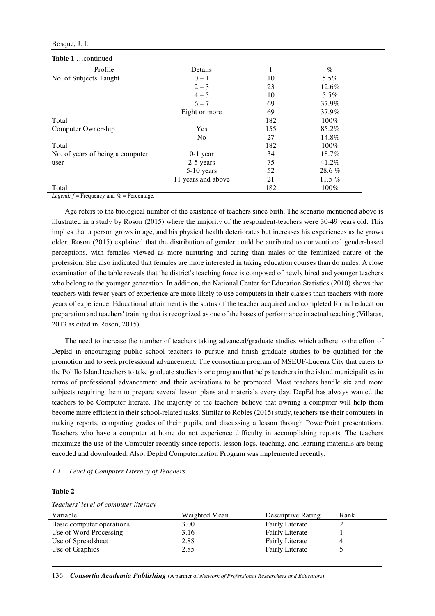# Bosque, J. I.

#### **Table 1** …continued

| Profile                          | Details            | f                | $\%$     |
|----------------------------------|--------------------|------------------|----------|
| No. of Subjects Taught           | $0 - 1$            | 10               | 5.5%     |
|                                  | $2 - 3$            | 23               | 12.6%    |
|                                  | $4 - 5$            | 10               | 5.5%     |
|                                  | $6 - 7$            | 69               | 37.9%    |
|                                  | Eight or more      | 69               | 37.9%    |
| Total                            |                    | <u>182</u>       | 100%     |
| Computer Ownership               | Yes                | 155              | 85.2%    |
|                                  | N <sub>0</sub>     | 27               | 14.8%    |
| Total                            |                    | $\frac{182}{34}$ | 100%     |
| No. of years of being a computer | $0-1$ year         |                  | 18.7%    |
| user                             | 2-5 years          | 75               | 41.2%    |
|                                  | $5-10$ years       | 52               | 28.6%    |
|                                  | 11 years and above | 21               | 11.5 $%$ |
| Total                            |                    | 182              | 100%     |

*Legend: f* = Frequency and *%* = Percentage.

Age refers to the biological number of the existence of teachers since birth. The scenario mentioned above is illustrated in a study by Roson (2015) where the majority of the respondent-teachers were 30-49 years old. This implies that a person grows in age, and his physical health deteriorates but increases his experiences as he grows older. Roson (2015) explained that the distribution of gender could be attributed to conventional gender-based perceptions, with females viewed as more nurturing and caring than males or the feminized nature of the profession. She also indicated that females are more interested in taking education courses than do males. A close examination of the table reveals that the district's teaching force is composed of newly hired and younger teachers who belong to the younger generation. In addition, the National Center for Education Statistics (2010) shows that teachers with fewer years of experience are more likely to use computers in their classes than teachers with more years of experience. Educational attainment is the status of the teacher acquired and completed formal education preparation and teachers' training that is recognized as one of the bases of performance in actual teaching (Villaras, 2013 as cited in Roson, 2015).

The need to increase the number of teachers taking advanced/graduate studies which adhere to the effort of DepEd in encouraging public school teachers to pursue and finish graduate studies to be qualified for the promotion and to seek professional advancement. The consortium program of MSEUF-Lucena City that caters to the Polillo Island teachers to take graduate studies is one program that helps teachers in the island municipalities in terms of professional advancement and their aspirations to be promoted. Most teachers handle six and more subjects requiring them to prepare several lesson plans and materials every day. DepEd has always wanted the teachers to be Computer literate. The majority of the teachers believe that owning a computer will help them become more efficient in their school-related tasks. Similar to Robles (2015) study, teachers use their computers in making reports, computing grades of their pupils, and discussing a lesson through PowerPoint presentations. Teachers who have a computer at home do not experience difficulty in accomplishing reports. The teachers maximize the use of the Computer recently since reports, lesson logs, teaching, and learning materials are being encoded and downloaded. Also, DepEd Computerization Program was implemented recently.

# *1.1 Level of Computer Literacy of Teachers*

# **Table 2**

*Teachers' level of computer literacy* 

| Weighted Mean | <b>Descriptive Rating</b> | Rank |
|---------------|---------------------------|------|
| 3.00          | <b>Fairly Literate</b>    |      |
| 3.16          | <b>Fairly Literate</b>    |      |
| 2.88          | <b>Fairly Literate</b>    |      |
| 2.85          | <b>Fairly Literate</b>    |      |
|               |                           |      |

136 *Consortia Academia Publishing* (A partner of *Network of Professional Researchers and Educators*)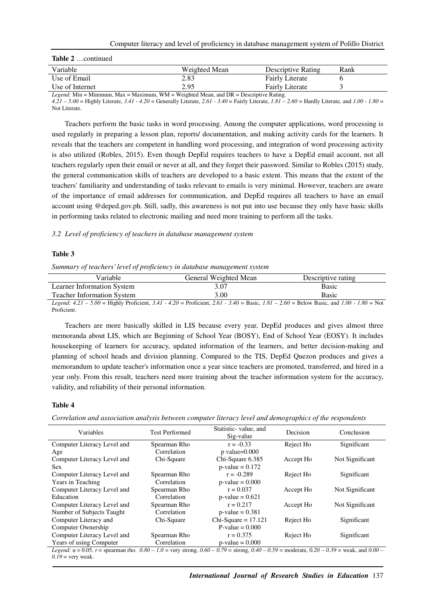| Variable                                                                                        | Weighted Mean | Descriptive Rating     | Rank |  |
|-------------------------------------------------------------------------------------------------|---------------|------------------------|------|--|
| Use of Email                                                                                    | 2.83          | <b>Fairly Literate</b> |      |  |
| Use of Internet                                                                                 | 2.95          | <b>Fairly Literate</b> |      |  |
| <i>Legend:</i> Min = Minimum, Max = Maximum, WM = Weighted Mean, and $DR$ = Descriptive Rating. |               |                        |      |  |

*4.21 – 5.00* = Highly Literate, *3.41 - 4.20* = Generally Literate, *2.61 - 3.40* = Fairly Literate, *1.81 – 2.60* = Hardly Literate, and *1.00 - 1.80* = Not Literate.

Teachers perform the basic tasks in word processing. Among the computer applications, word processing is used regularly in preparing a lesson plan, reports/ documentation, and making activity cards for the learners. It reveals that the teachers are competent in handling word processing, and integration of word processing activity is also utilized (Robles, 2015). Even though DepEd requires teachers to have a DepEd email account, not all teachers regularly open their email or never at all, and they forget their password. Similar to Robles (2015) study, the general communication skills of teachers are developed to a basic extent. This means that the extent of the teachers' familiarity and understanding of tasks relevant to emails is very minimal. However, teachers are aware of the importance of email addresses for communication, and DepEd requires all teachers to have an email account using @deped.gov.ph. Still, sadly, this awareness is not put into use because they only have basic skills in performing tasks related to electronic mailing and need more training to perform all the tasks.

### *3.2 Level of proficiency of teachers in database management system*

# **Table 3**

#### *Summary of teachers' level of proficiency in database management system*

| Variable                                                                                                                                                                                                                                                                                       | General Weighted Mean | Descriptive rating |
|------------------------------------------------------------------------------------------------------------------------------------------------------------------------------------------------------------------------------------------------------------------------------------------------|-----------------------|--------------------|
| Learner Information System                                                                                                                                                                                                                                                                     | 3.07                  | Basic              |
| <b>Teacher Information System</b>                                                                                                                                                                                                                                                              | 3.00                  | Basic              |
| $\mathbf{r} = 1.1$ at 5.00 $\mathbf{r} = 11$ in $\mathbf{r} = 1.4$ and $\mathbf{r} = 0.6$ in $\mathbf{r} = 1.4$ and $\mathbf{r} = 1.4$ and $\mathbf{r} = 1.4$ and $\mathbf{r} = 1.4$ and $\mathbf{r} = 1.4$ and $\mathbf{r} = 1.4$ and $\mathbf{r} = 1.4$ and $\mathbf{r} = 1.4$ and $\mathbf$ |                       |                    |

*Legend: 4.21 – 5.00* = Highly Proficient, *3.41 - 4.20* = Proficient, *2.61 - 3.40* = Basic, *1.81 – 2.60* = Below Basic, and *1.00 - 1.80* = Not Proficient.

Teachers are more basically skilled in LIS because every year, DepEd produces and gives almost three memoranda about LIS, which are Beginning of School Year (BOSY), End of School Year (EOSY). It includes housekeeping of learners for accuracy, updated information of the learners, and better decision-making and planning of school heads and division planning. Compared to the TIS, DepEd Quezon produces and gives a memorandum to update teacher's information once a year since teachers are promoted, transferred, and hired in a year only. From this result, teachers need more training about the teacher information system for the accuracy, validity, and reliability of their personal information.

## **Table 4**

*Correlation and association analysis between computer literacy level and demographics of the respondents* 

| Variables                                                                                                                                                      | <b>Test Performed</b> | Statistic-value, and<br>Sig-value | Decision  | Conclusion      |
|----------------------------------------------------------------------------------------------------------------------------------------------------------------|-----------------------|-----------------------------------|-----------|-----------------|
| Computer Literacy Level and                                                                                                                                    | Spearman Rho          | $r = -0.33$                       | Reject Ho | Significant     |
| Age                                                                                                                                                            | Correlation           | $p$ value= $0.000$                |           |                 |
| Computer Literacy Level and                                                                                                                                    | Chi-Square            | Chi-Square 6.385                  | Accept Ho | Not Significant |
| <b>Sex</b>                                                                                                                                                     |                       | $p$ -value = 0.172                |           |                 |
| Computer Literacy Level and                                                                                                                                    | Spearman Rho          | $r = -0.289$                      | Reject Ho | Significant     |
| Years in Teaching                                                                                                                                              | Correlation           | $p$ -value = $0.000$              |           |                 |
| Computer Literacy Level and                                                                                                                                    | Spearman Rho          | $r = 0.037$                       | Accept Ho | Not Significant |
| Education                                                                                                                                                      | Correlation           | $p$ -value = 0.621                |           |                 |
| Computer Literacy Level and                                                                                                                                    | Spearman Rho          | $r = 0.217$                       | Accept Ho | Not Significant |
| Number of Subjects Taught                                                                                                                                      | Correlation           | $p$ -value = 0.381                |           |                 |
| Computer Literacy and                                                                                                                                          | Chi-Square            | $Chi-Square = 17.121$             | Reject Ho | Significant     |
| Computer Ownership                                                                                                                                             |                       | $P-value = 0.000$                 |           |                 |
| Computer Literacy Level and                                                                                                                                    | Spearman Rho          | $r = 0.375$                       | Reject Ho | Significant     |
| Years of using Computer                                                                                                                                        | Correlation           | $p-value = 0.000$                 |           |                 |
| Legend: $\alpha = 0.05$ . $r =$ spearman rho. $0.80 - 1.0 =$ very strong, $0.60 - 0.79 =$ strong, $0.40 - 0.59 =$ moderate, $0.20 - 0.39 =$ weak, and $0.00 -$ |                       |                                   |           |                 |
| $0.19$ = very weak.                                                                                                                                            |                       |                                   |           |                 |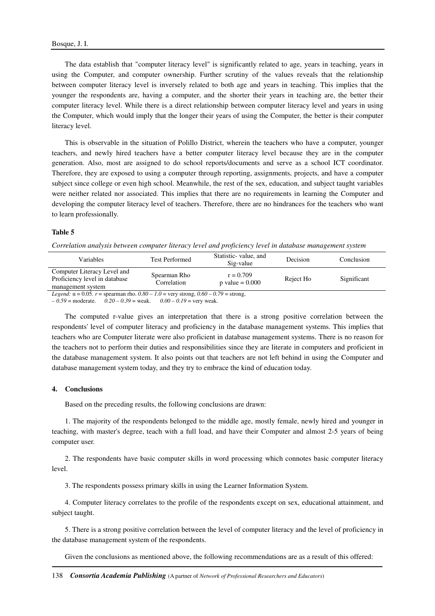The data establish that "computer literacy level" is significantly related to age, years in teaching, years in using the Computer, and computer ownership. Further scrutiny of the values reveals that the relationship between computer literacy level is inversely related to both age and years in teaching. This implies that the younger the respondents are, having a computer, and the shorter their years in teaching are, the better their computer literacy level. While there is a direct relationship between computer literacy level and years in using the Computer, which would imply that the longer their years of using the Computer, the better is their computer literacy level.

This is observable in the situation of Polillo District, wherein the teachers who have a computer, younger teachers, and newly hired teachers have a better computer literacy level because they are in the computer generation. Also, most are assigned to do school reports/documents and serve as a school ICT coordinator. Therefore, they are exposed to using a computer through reporting, assignments, projects, and have a computer subject since college or even high school. Meanwhile, the rest of the sex, education, and subject taught variables were neither related nor associated. This implies that there are no requirements in learning the Computer and developing the computer literacy level of teachers. Therefore, there are no hindrances for the teachers who want to learn professionally.

#### **Table 5**

*Correlation analysis between computer literacy level and proficiency level in database management system* 

| Variables                                                                                                 | <b>Test Performed</b>       | Statistic-value, and<br>Sig-value | Decision  | Conclusion  |
|-----------------------------------------------------------------------------------------------------------|-----------------------------|-----------------------------------|-----------|-------------|
| Computer Literacy Level and<br>Proficiency level in database<br>management system                         | Spearman Rho<br>Correlation | $r = 0.709$<br>p value $= 0.000$  | Reject Ho | Significant |
| <i>Legend</i> : $\alpha = 0.05$ . $r =$ spearman rho. $0.80 - 1.0 =$ very strong, $0.60 - 0.79 =$ strong, |                             |                                   |           |             |

*– 0.59* = moderate. *0.20 – 0.39* = weak. *0.00 – 0.19* = very weak.

The computed r-value gives an interpretation that there is a strong positive correlation between the respondents' level of computer literacy and proficiency in the database management systems. This implies that teachers who are Computer literate were also proficient in database management systems. There is no reason for the teachers not to perform their duties and responsibilities since they are literate in computers and proficient in the database management system. It also points out that teachers are not left behind in using the Computer and database management system today, and they try to embrace the kind of education today.

## **4. Conclusions**

Based on the preceding results, the following conclusions are drawn:

1. The majority of the respondents belonged to the middle age, mostly female, newly hired and younger in teaching, with master's degree, teach with a full load, and have their Computer and almost 2-5 years of being computer user.

2. The respondents have basic computer skills in word processing which connotes basic computer literacy level.

3. The respondents possess primary skills in using the Learner Information System.

4. Computer literacy correlates to the profile of the respondents except on sex, educational attainment, and subject taught.

5. There is a strong positive correlation between the level of computer literacy and the level of proficiency in the database management system of the respondents.

Given the conclusions as mentioned above, the following recommendations are as a result of this offered: